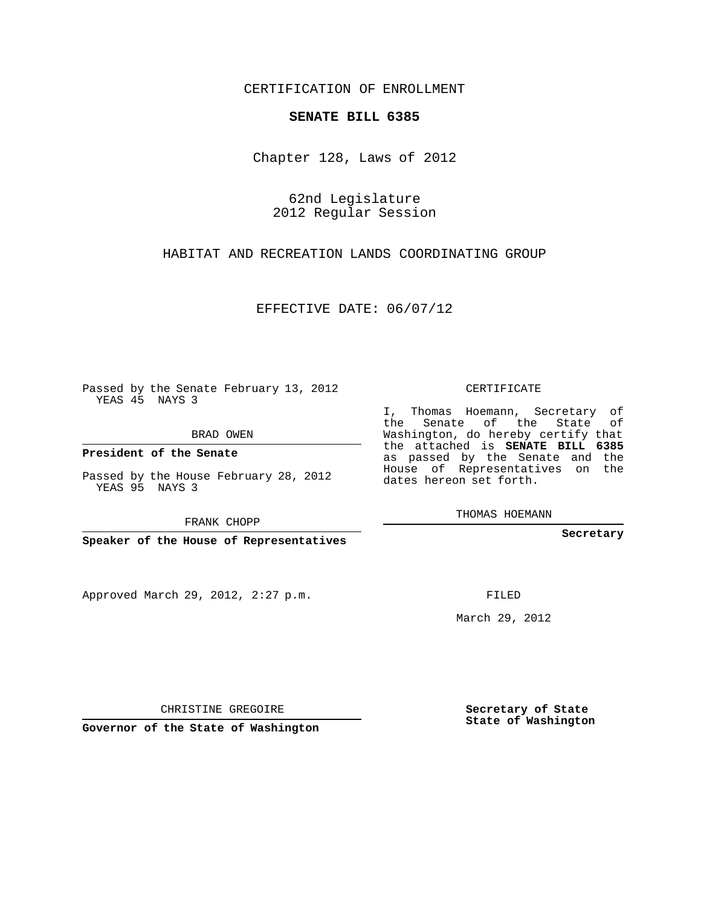CERTIFICATION OF ENROLLMENT

## **SENATE BILL 6385**

Chapter 128, Laws of 2012

62nd Legislature 2012 Regular Session

HABITAT AND RECREATION LANDS COORDINATING GROUP

EFFECTIVE DATE: 06/07/12

Passed by the Senate February 13, 2012 YEAS 45 NAYS 3

BRAD OWEN

**President of the Senate**

Passed by the House February 28, 2012 YEAS 95 NAYS 3

FRANK CHOPP

**Speaker of the House of Representatives**

Approved March 29, 2012, 2:27 p.m.

CERTIFICATE

I, Thomas Hoemann, Secretary of the Senate of the State of Washington, do hereby certify that the attached is **SENATE BILL 6385** as passed by the Senate and the House of Representatives on the dates hereon set forth.

THOMAS HOEMANN

**Secretary**

FILED

March 29, 2012

**Secretary of State State of Washington**

CHRISTINE GREGOIRE

**Governor of the State of Washington**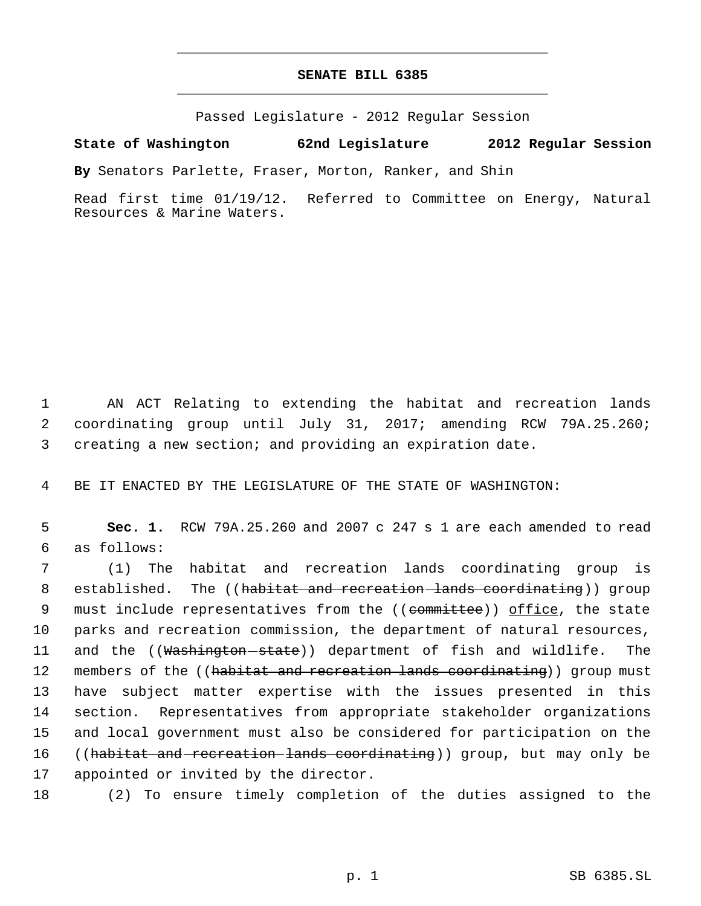## **SENATE BILL 6385** \_\_\_\_\_\_\_\_\_\_\_\_\_\_\_\_\_\_\_\_\_\_\_\_\_\_\_\_\_\_\_\_\_\_\_\_\_\_\_\_\_\_\_\_\_

\_\_\_\_\_\_\_\_\_\_\_\_\_\_\_\_\_\_\_\_\_\_\_\_\_\_\_\_\_\_\_\_\_\_\_\_\_\_\_\_\_\_\_\_\_

Passed Legislature - 2012 Regular Session

**State of Washington 62nd Legislature 2012 Regular Session**

**By** Senators Parlette, Fraser, Morton, Ranker, and Shin

Read first time 01/19/12. Referred to Committee on Energy, Natural Resources & Marine Waters.

 1 AN ACT Relating to extending the habitat and recreation lands 2 coordinating group until July 31, 2017; amending RCW 79A.25.260; 3 creating a new section; and providing an expiration date.

4 BE IT ENACTED BY THE LEGISLATURE OF THE STATE OF WASHINGTON:

 5 **Sec. 1.** RCW 79A.25.260 and 2007 c 247 s 1 are each amended to read 6 as follows:

 7 (1) The habitat and recreation lands coordinating group is 8 established. The ((<del>habitat and recreation lands coordinating</del>)) group 9 must include representatives from the ((committee)) office, the state 10 parks and recreation commission, the department of natural resources, 11 and the ((<del>Washington state</del>)) department of fish and wildlife. The 12 members of the ((<del>habitat and recreation lands coordinating</del>)) group must 13 have subject matter expertise with the issues presented in this 14 section. Representatives from appropriate stakeholder organizations 15 and local government must also be considered for participation on the 16 ((habitat and recreation lands coordinating)) group, but may only be 17 appointed or invited by the director.

18 (2) To ensure timely completion of the duties assigned to the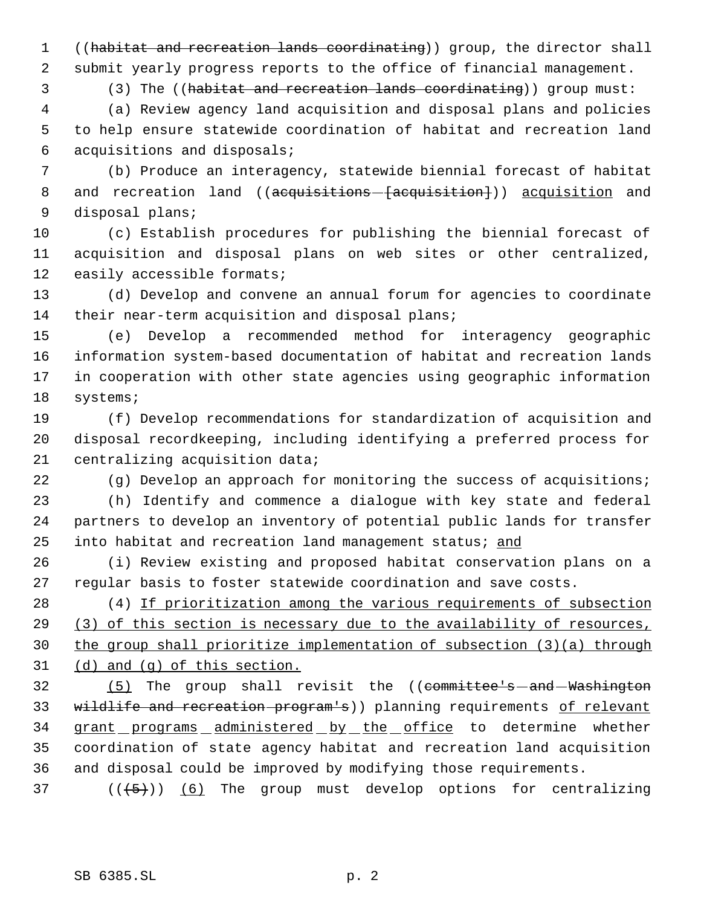((habitat and recreation lands coordinating)) group, the director shall submit yearly progress reports to the office of financial management.

(3) The ((habitat and recreation lands coordinating)) group must:

 (a) Review agency land acquisition and disposal plans and policies to help ensure statewide coordination of habitat and recreation land acquisitions and disposals;

 (b) Produce an interagency, statewide biennial forecast of habitat 8 and recreation land ((acquisitions - [acquisition])) acquisition and disposal plans;

 (c) Establish procedures for publishing the biennial forecast of acquisition and disposal plans on web sites or other centralized, easily accessible formats;

 (d) Develop and convene an annual forum for agencies to coordinate 14 their near-term acquisition and disposal plans;

 (e) Develop a recommended method for interagency geographic information system-based documentation of habitat and recreation lands in cooperation with other state agencies using geographic information systems;

 (f) Develop recommendations for standardization of acquisition and disposal recordkeeping, including identifying a preferred process for centralizing acquisition data;

(g) Develop an approach for monitoring the success of acquisitions;

 (h) Identify and commence a dialogue with key state and federal partners to develop an inventory of potential public lands for transfer 25 into habitat and recreation land management status; and

 (i) Review existing and proposed habitat conservation plans on a regular basis to foster statewide coordination and save costs.

 (4) If prioritization among the various requirements of subsection 29 (3) of this section is necessary due to the availability of resources, the group shall prioritize implementation of subsection (3)(a) through (d) and (g) of this section.

32 (5) The group shall revisit the ((committee's-and-Washington 33 wildlife and recreation-program's)) planning requirements of relevant 34 grant programs administered by the office to determine whether coordination of state agency habitat and recreation land acquisition and disposal could be improved by modifying those requirements.

37  $((+5))$   $(6)$  The group must develop options for centralizing